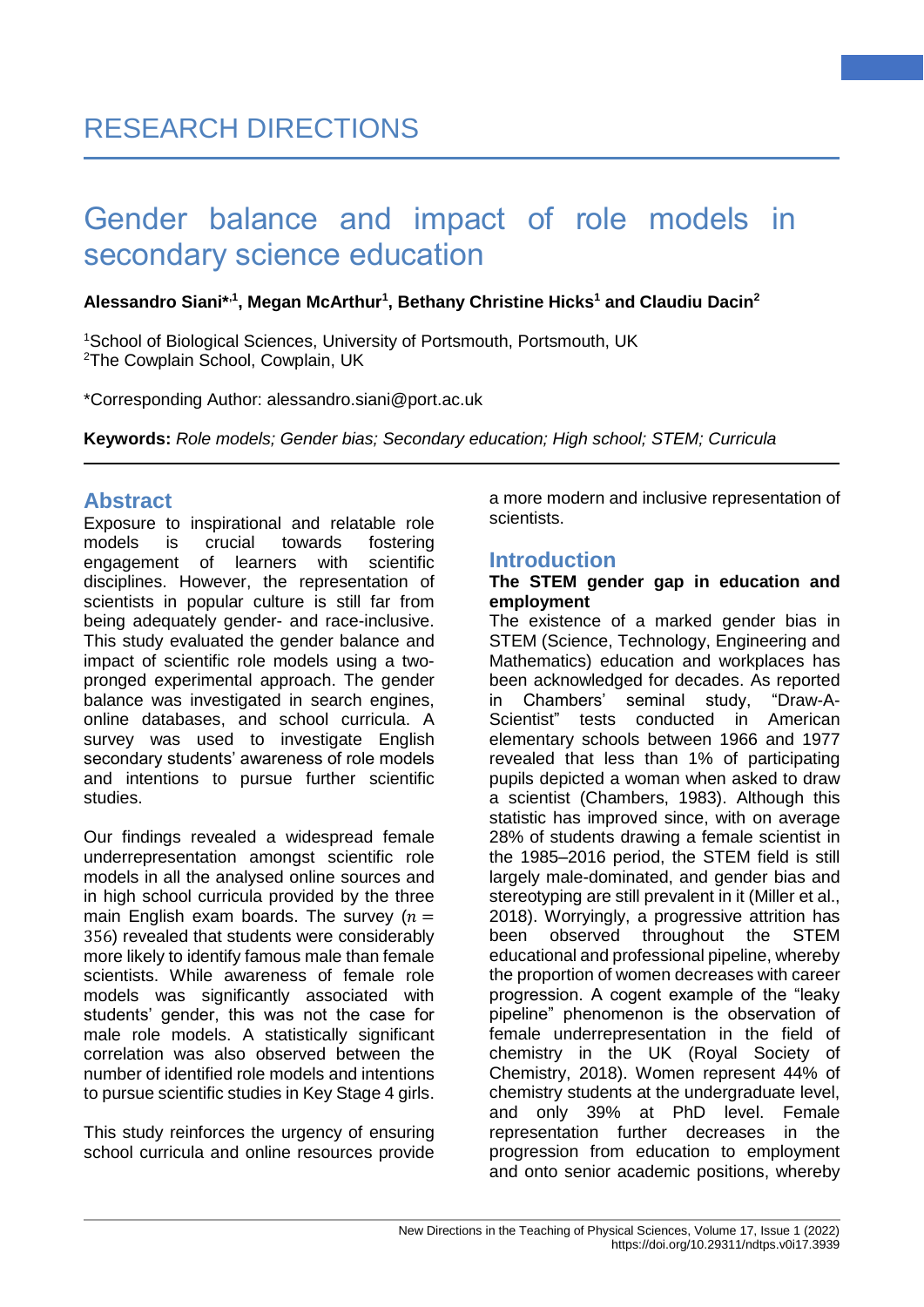#### **Alessandro Siani\*,1, Megan McArthur<sup>1</sup> , Bethany Christine Hicks<sup>1</sup> and Claudiu Dacin<sup>2</sup>**

<sup>1</sup>School of Biological Sciences, University of Portsmouth, Portsmouth, UK <sup>2</sup>The Cowplain School, Cowplain, UK

\*Corresponding Author: alessandro.siani@port.ac.uk

**Keywords:** *Role models; Gender bias; Secondary education; High school; STEM; Curricula*

## **Abstract**

Exposure to inspirational and relatable role models is crucial towards fostering engagement of learners with scientific disciplines. However, the representation of scientists in popular culture is still far from being adequately gender- and race-inclusive. This study evaluated the gender balance and impact of scientific role models using a twopronged experimental approach. The gender balance was investigated in search engines, online databases, and school curricula. A survey was used to investigate English secondary students' awareness of role models and intentions to pursue further scientific studies.

Our findings revealed a widespread female underrepresentation amongst scientific role models in all the analysed online sources and in high school curricula provided by the three main English exam boards. The survey  $(n =$ 356) revealed that students were considerably more likely to identify famous male than female scientists. While awareness of female role models was significantly associated with students' gender, this was not the case for male role models. A statistically significant correlation was also observed between the number of identified role models and intentions to pursue scientific studies in Key Stage 4 girls.

This study reinforces the urgency of ensuring school curricula and online resources provide a more modern and inclusive representation of scientists.

#### **Introduction**

#### **The STEM gender gap in education and employment**

The existence of a marked gender bias in STEM (Science, Technology, Engineering and Mathematics) education and workplaces has been acknowledged for decades. As reported in Chambers' seminal study, "Draw-A-Scientist" tests conducted in American elementary schools between 1966 and 1977 revealed that less than 1% of participating pupils depicted a woman when asked to draw a scientist (Chambers, 1983). Although this statistic has improved since, with on average 28% of students drawing a female scientist in the 1985–2016 period, the STEM field is still largely male-dominated, and gender bias and stereotyping are still prevalent in it (Miller et al., 2018). Worryingly, a progressive attrition has been observed throughout the STEM educational and professional pipeline, whereby the proportion of women decreases with career progression. A cogent example of the "leaky pipeline" phenomenon is the observation of female underrepresentation in the field of chemistry in the UK (Royal Society of Chemistry, 2018). Women represent 44% of chemistry students at the undergraduate level, and only 39% at PhD level. Female representation further decreases in the progression from education to employment and onto senior academic positions, whereby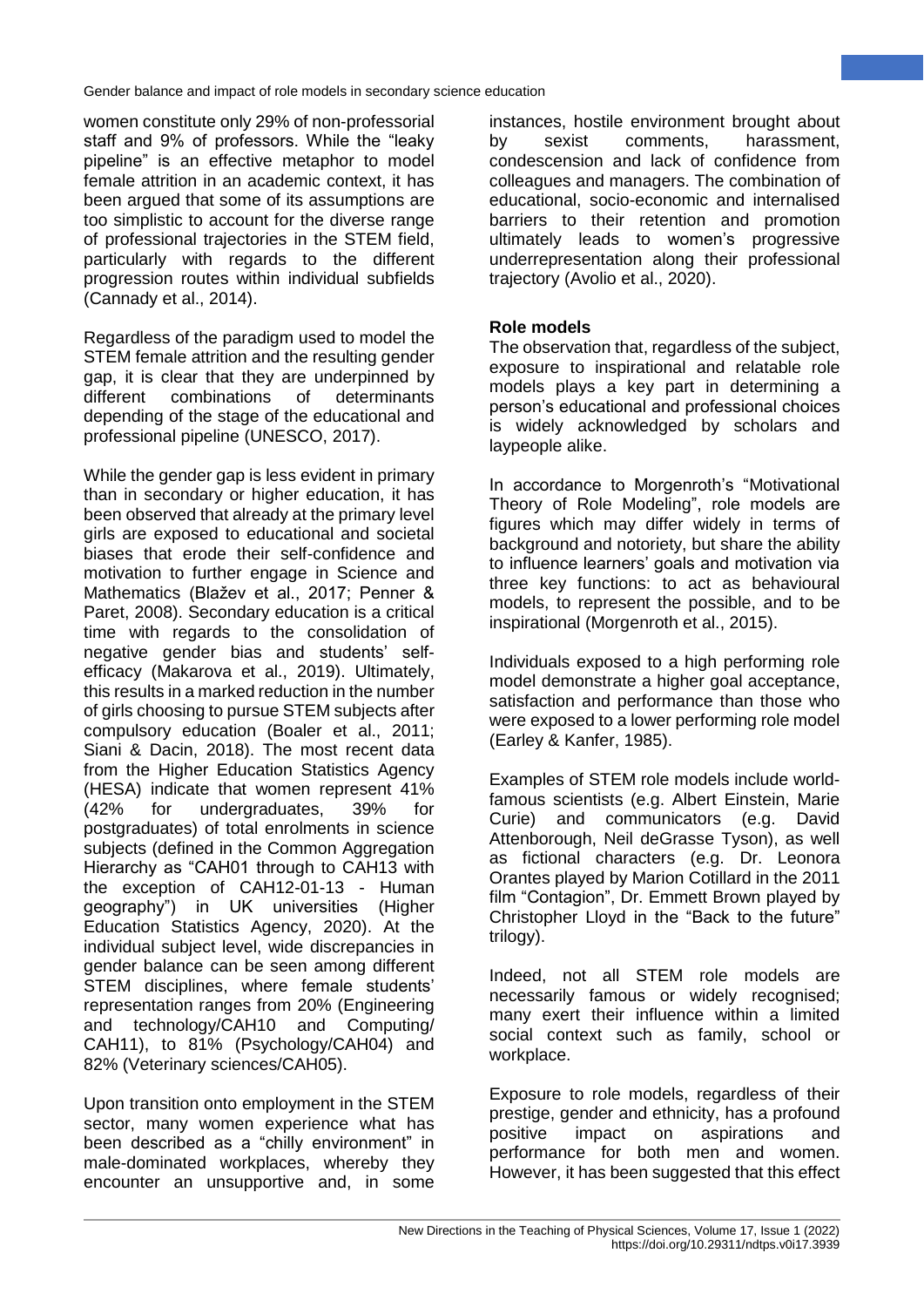women constitute only 29% of non-professorial staff and 9% of professors. While the "leaky pipeline" is an effective metaphor to model female attrition in an academic context, it has been argued that some of its assumptions are too simplistic to account for the diverse range of professional trajectories in the STEM field, particularly with regards to the different progression routes within individual subfields (Cannady et al., 2014).

Regardless of the paradigm used to model the STEM female attrition and the resulting gender gap, it is clear that they are underpinned by different combinations of determinants depending of the stage of the educational and professional pipeline (UNESCO, 2017).

While the gender gap is less evident in primary than in secondary or higher education, it has been observed that already at the primary level girls are exposed to educational and societal biases that erode their self-confidence and motivation to further engage in Science and Mathematics (Blažev et al., 2017; Penner & Paret, 2008). Secondary education is a critical time with regards to the consolidation of negative gender bias and students' selfefficacy (Makarova et al., 2019). Ultimately, this results in a marked reduction in the number of girls choosing to pursue STEM subjects after compulsory education (Boaler et al., 2011; Siani & Dacin, 2018). The most recent data from the Higher Education Statistics Agency (HESA) indicate that women represent 41% (42% for undergraduates, 39% for postgraduates) of total enrolments in science subjects (defined in the Common Aggregation Hierarchy as "CAH01 through to CAH13 with the exception of CAH12-01-13 - Human geography") in UK universities (Higher Education Statistics Agency, 2020). At the individual subject level, wide discrepancies in gender balance can be seen among different STEM disciplines, where female students' representation ranges from 20% (Engineering and technology/CAH10 and Computing/ CAH11), to 81% (Psychology/CAH04) and 82% (Veterinary sciences/CAH05).

Upon transition onto employment in the STEM sector, many women experience what has been described as a "chilly environment" in male-dominated workplaces, whereby they encounter an unsupportive and, in some instances, hostile environment brought about by sexist comments, harassment, condescension and lack of confidence from colleagues and managers. The combination of educational, socio-economic and internalised barriers to their retention and promotion ultimately leads to women's progressive underrepresentation along their professional trajectory (Avolio et al., 2020).

## **Role models**

The observation that, regardless of the subject, exposure to inspirational and relatable role models plays a key part in determining a person's educational and professional choices is widely acknowledged by scholars and laypeople alike.

In accordance to Morgenroth's "Motivational Theory of Role Modeling", role models are figures which may differ widely in terms of background and notoriety, but share the ability to influence learners' goals and motivation via three key functions: to act as behavioural models, to represent the possible, and to be inspirational (Morgenroth et al., 2015).

Individuals exposed to a high performing role model demonstrate a higher goal acceptance, satisfaction and performance than those who were exposed to a lower performing role model (Earley & Kanfer, 1985).

Examples of STEM role models include worldfamous scientists (e.g. Albert Einstein, Marie Curie) and communicators (e.g. David Attenborough, Neil deGrasse Tyson), as well as fictional characters (e.g. Dr. Leonora Orantes played by Marion Cotillard in the 2011 film "Contagion", Dr. Emmett Brown played by Christopher Lloyd in the "Back to the future" trilogy).

Indeed, not all STEM role models are necessarily famous or widely recognised; many exert their influence within a limited social context such as family, school or workplace.

Exposure to role models, regardless of their prestige, gender and ethnicity, has a profound positive impact on aspirations and performance for both men and women. However, it has been suggested that this effect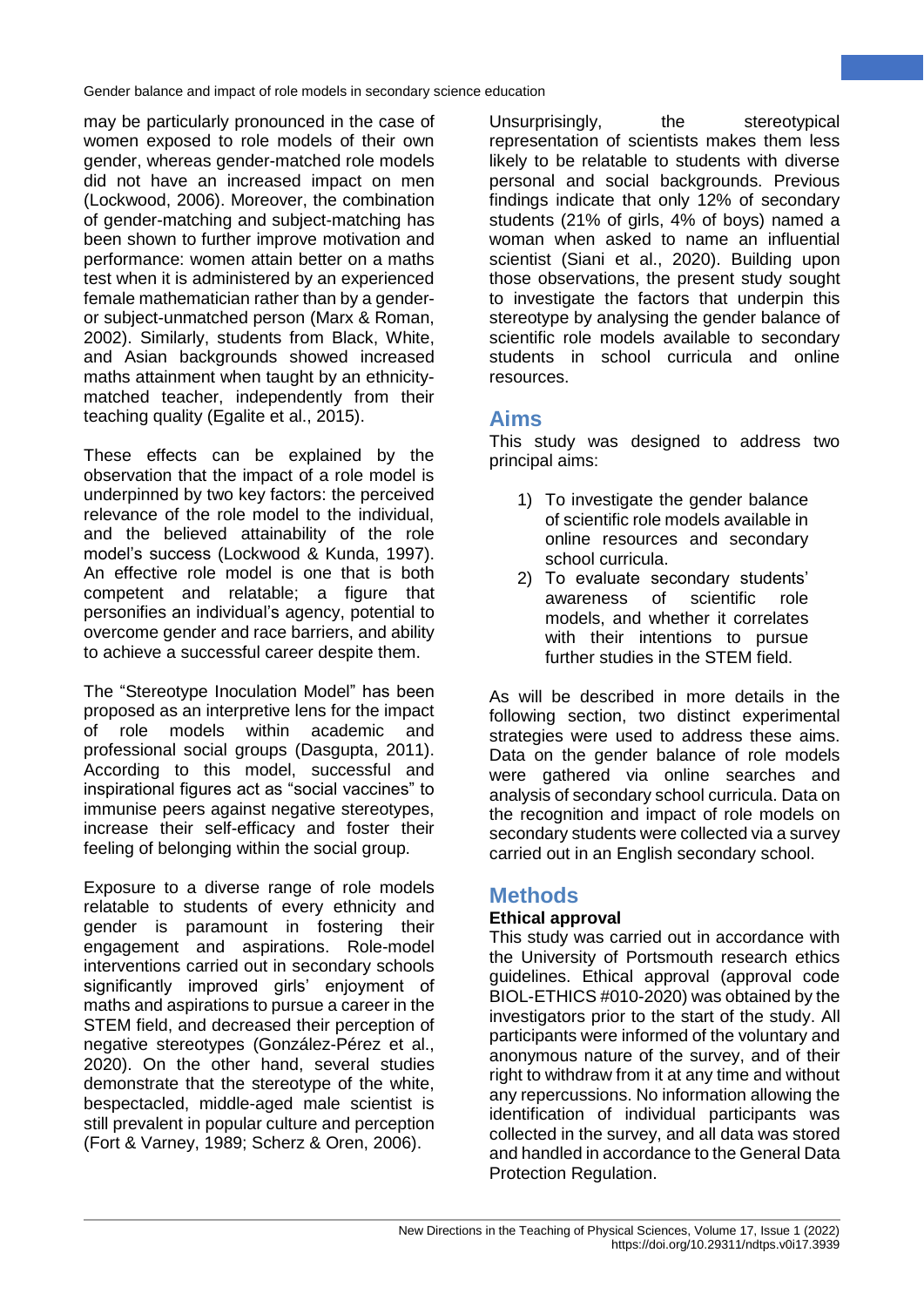may be particularly pronounced in the case of women exposed to role models of their own gender, whereas gender-matched role models did not have an increased impact on men (Lockwood, 2006). Moreover, the combination of gender-matching and subject-matching has been shown to further improve motivation and performance: women attain better on a maths test when it is administered by an experienced female mathematician rather than by a genderor subject-unmatched person (Marx & Roman, 2002). Similarly, students from Black, White, and Asian backgrounds showed increased maths attainment when taught by an ethnicitymatched teacher, independently from their teaching quality (Egalite et al., 2015).

These effects can be explained by the observation that the impact of a role model is underpinned by two key factors: the perceived relevance of the role model to the individual, and the believed attainability of the role model's success (Lockwood & Kunda, 1997). An effective role model is one that is both competent and relatable; a figure that personifies an individual's agency, potential to overcome gender and race barriers, and ability to achieve a successful career despite them.

The "Stereotype Inoculation Model" has been proposed as an interpretive lens for the impact of role models within academic and professional social groups (Dasgupta, 2011). According to this model, successful and inspirational figures act as "social vaccines" to immunise peers against negative stereotypes, increase their self-efficacy and foster their feeling of belonging within the social group.

Exposure to a diverse range of role models relatable to students of every ethnicity and gender is paramount in fostering their engagement and aspirations. Role-model interventions carried out in secondary schools significantly improved girls' enjoyment of maths and aspirations to pursue a career in the STEM field, and decreased their perception of negative stereotypes (González-Pérez et al., 2020). On the other hand, several studies demonstrate that the stereotype of the white, bespectacled, middle-aged male scientist is still prevalent in popular culture and perception (Fort & Varney, 1989; Scherz & Oren, 2006).

Unsurprisingly, the stereotypical representation of scientists makes them less likely to be relatable to students with diverse personal and social backgrounds. Previous findings indicate that only 12% of secondary students (21% of girls, 4% of boys) named a woman when asked to name an influential scientist (Siani et al., 2020). Building upon those observations, the present study sought to investigate the factors that underpin this stereotype by analysing the gender balance of scientific role models available to secondary students in school curricula and online resources.

## **Aims**

This study was designed to address two principal aims:

- 1) To investigate the gender balance of scientific role models available in online resources and secondary school curricula.
- 2) To evaluate secondary students' awareness of scientific role models, and whether it correlates with their intentions to pursue further studies in the STEM field.

As will be described in more details in the following section, two distinct experimental strategies were used to address these aims. Data on the gender balance of role models were gathered via online searches and analysis of secondary school curricula. Data on the recognition and impact of role models on secondary students were collected via a survey carried out in an English secondary school.

## **Methods**

## **Ethical approval**

This study was carried out in accordance with the University of Portsmouth research ethics guidelines. Ethical approval (approval code BIOL-ETHICS #010-2020) was obtained by the investigators prior to the start of the study. All participants were informed of the voluntary and anonymous nature of the survey, and of their right to withdraw from it at any time and without any repercussions. No information allowing the identification of individual participants was collected in the survey, and all data was stored and handled in accordance to the General Data Protection Regulation.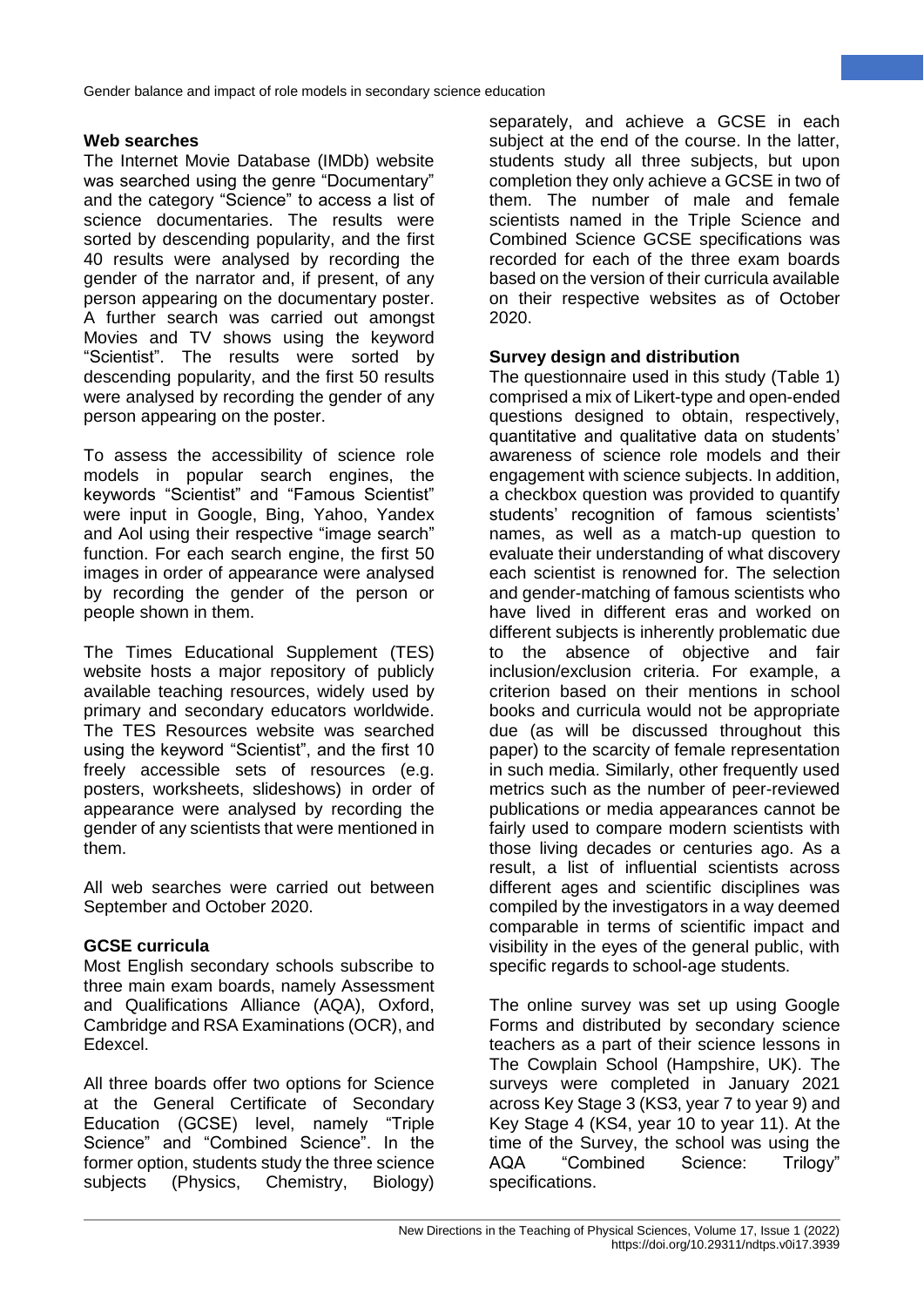### **Web searches**

The Internet Movie Database (IMDb) website was searched using the genre "Documentary" and the category "Science" to access a list of science documentaries. The results were sorted by descending popularity, and the first 40 results were analysed by recording the gender of the narrator and, if present, of any person appearing on the documentary poster. A further search was carried out amongst Movies and TV shows using the keyword "Scientist". The results were sorted by descending popularity, and the first 50 results were analysed by recording the gender of any person appearing on the poster.

To assess the accessibility of science role models in popular search engines, the keywords "Scientist" and "Famous Scientist" were input in Google, Bing, Yahoo, Yandex and Aol using their respective "image search" function. For each search engine, the first 50 images in order of appearance were analysed by recording the gender of the person or people shown in them.

The Times Educational Supplement (TES) website hosts a major repository of publicly available teaching resources, widely used by primary and secondary educators worldwide. The TES Resources website was searched using the keyword "Scientist", and the first 10 freely accessible sets of resources (e.g. posters, worksheets, slideshows) in order of appearance were analysed by recording the gender of any scientists that were mentioned in them.

All web searches were carried out between September and October 2020.

## **GCSE curricula**

Most English secondary schools subscribe to three main exam boards, namely Assessment and Qualifications Alliance (AQA), Oxford, Cambridge and RSA Examinations (OCR), and Edexcel.

All three boards offer two options for Science at the General Certificate of Secondary Education (GCSE) level, namely "Triple Science" and "Combined Science". In the former option, students study the three science subjects (Physics, Chemistry, Biology) separately, and achieve a GCSE in each subject at the end of the course. In the latter, students study all three subjects, but upon completion they only achieve a GCSE in two of them. The number of male and female scientists named in the Triple Science and Combined Science GCSE specifications was recorded for each of the three exam boards based on the version of their curricula available on their respective websites as of October 2020.

#### **Survey design and distribution**

The questionnaire used in this study (Table 1) comprised a mix of Likert-type and open-ended questions designed to obtain, respectively, quantitative and qualitative data on students' awareness of science role models and their engagement with science subjects. In addition, a checkbox question was provided to quantify students' recognition of famous scientists' names, as well as a match-up question to evaluate their understanding of what discovery each scientist is renowned for. The selection and gender-matching of famous scientists who have lived in different eras and worked on different subjects is inherently problematic due to the absence of objective and fair inclusion/exclusion criteria. For example, a criterion based on their mentions in school books and curricula would not be appropriate due (as will be discussed throughout this paper) to the scarcity of female representation in such media. Similarly, other frequently used metrics such as the number of peer-reviewed publications or media appearances cannot be fairly used to compare modern scientists with those living decades or centuries ago. As a result, a list of influential scientists across different ages and scientific disciplines was compiled by the investigators in a way deemed comparable in terms of scientific impact and visibility in the eyes of the general public, with specific regards to school-age students.

The online survey was set up using Google Forms and distributed by secondary science teachers as a part of their science lessons in The Cowplain School (Hampshire, UK). The surveys were completed in January 2021 across Key Stage 3 (KS3, year 7 to year 9) and Key Stage 4 (KS4, year 10 to year 11). At the time of the Survey, the school was using the AQA "Combined Science: Trilogy" specifications.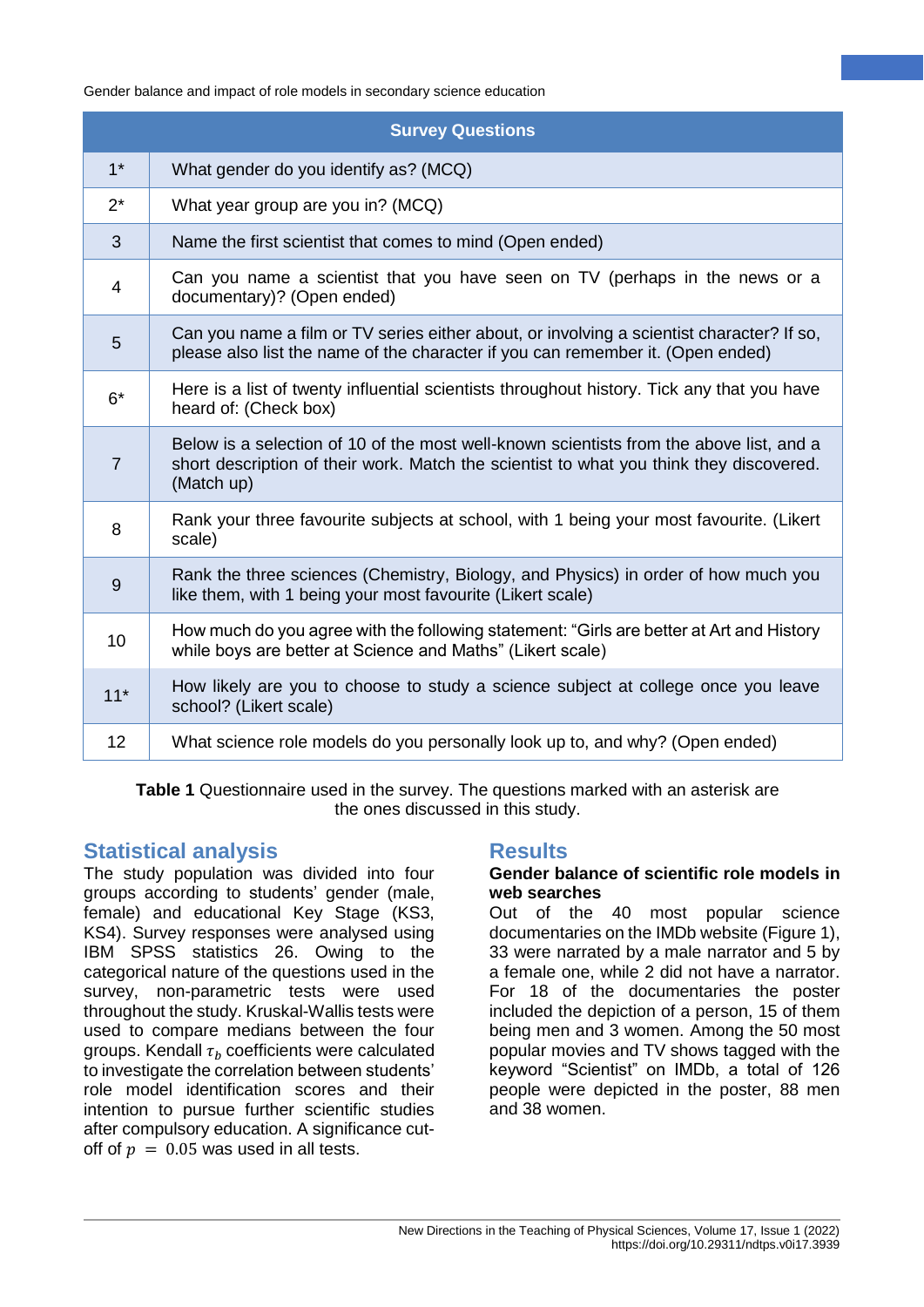| <b>Survey Questions</b> |                                                                                                                                                                                                  |  |  |  |  |
|-------------------------|--------------------------------------------------------------------------------------------------------------------------------------------------------------------------------------------------|--|--|--|--|
| $1^*$                   | What gender do you identify as? (MCQ)                                                                                                                                                            |  |  |  |  |
| $2^*$                   | What year group are you in? (MCQ)                                                                                                                                                                |  |  |  |  |
| 3                       | Name the first scientist that comes to mind (Open ended)                                                                                                                                         |  |  |  |  |
| 4                       | Can you name a scientist that you have seen on TV (perhaps in the news or a<br>documentary)? (Open ended)                                                                                        |  |  |  |  |
| 5                       | Can you name a film or TV series either about, or involving a scientist character? If so,<br>please also list the name of the character if you can remember it. (Open ended)                     |  |  |  |  |
| $6*$                    | Here is a list of twenty influential scientists throughout history. Tick any that you have<br>heard of: (Check box)                                                                              |  |  |  |  |
| $\overline{7}$          | Below is a selection of 10 of the most well-known scientists from the above list, and a<br>short description of their work. Match the scientist to what you think they discovered.<br>(Match up) |  |  |  |  |
| 8                       | Rank your three favourite subjects at school, with 1 being your most favourite. (Likert<br>scale)                                                                                                |  |  |  |  |
| 9                       | Rank the three sciences (Chemistry, Biology, and Physics) in order of how much you<br>like them, with 1 being your most favourite (Likert scale)                                                 |  |  |  |  |
| 10                      | How much do you agree with the following statement: "Girls are better at Art and History<br>while boys are better at Science and Maths" (Likert scale)                                           |  |  |  |  |
| $11*$                   | How likely are you to choose to study a science subject at college once you leave<br>school? (Likert scale)                                                                                      |  |  |  |  |
| 12                      | What science role models do you personally look up to, and why? (Open ended)                                                                                                                     |  |  |  |  |

**Table 1** Questionnaire used in the survey. The questions marked with an asterisk are the ones discussed in this study.

## **Statistical analysis**

The study population was divided into four groups according to students' gender (male, female) and educational Key Stage (KS3, KS4). Survey responses were analysed using IBM SPSS statistics 26. Owing to the categorical nature of the questions used in the survey, non-parametric tests were used throughout the study. Kruskal-Wallis tests were used to compare medians between the four groups. Kendall  $\tau_h$  coefficients were calculated to investigate the correlation between students' role model identification scores and their intention to pursue further scientific studies after compulsory education. A significance cutoff of  $p = 0.05$  was used in all tests.

## **Results**

#### **Gender balance of scientific role models in web searches**

Out of the 40 most popular science documentaries on the IMDb website (Figure 1), 33 were narrated by a male narrator and 5 by a female one, while 2 did not have a narrator. For 18 of the documentaries the poster included the depiction of a person, 15 of them being men and 3 women. Among the 50 most popular movies and TV shows tagged with the keyword "Scientist" on IMDb, a total of 126 people were depicted in the poster, 88 men and 38 women.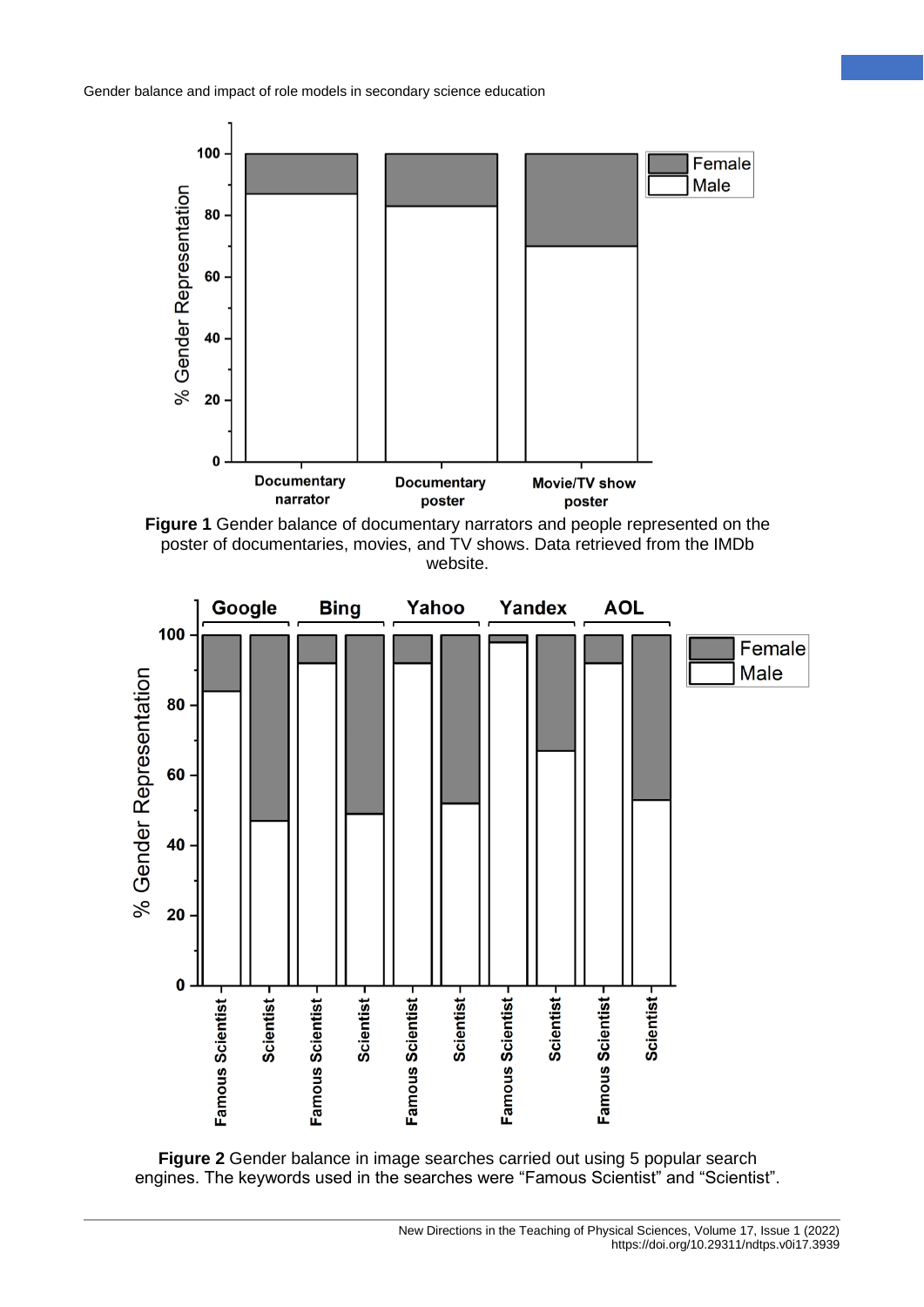





**Figure 2** Gender balance in image searches carried out using 5 popular search engines. The keywords used in the searches were "Famous Scientist" and "Scientist".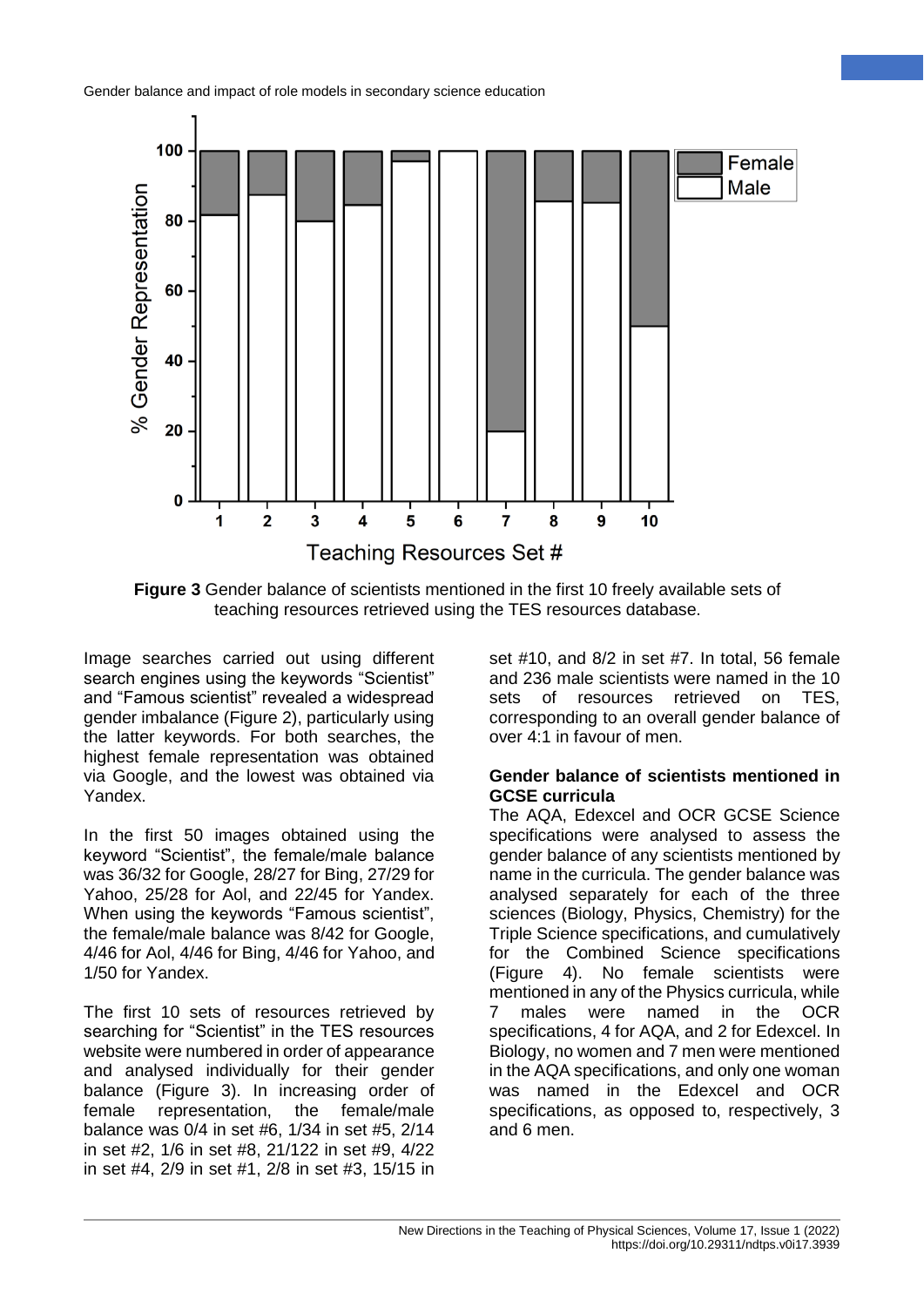

**Figure 3** Gender balance of scientists mentioned in the first 10 freely available sets of teaching resources retrieved using the TES resources database.

Image searches carried out using different search engines using the keywords "Scientist" and "Famous scientist" revealed a widespread gender imbalance (Figure 2), particularly using the latter keywords. For both searches, the highest female representation was obtained via Google, and the lowest was obtained via Yandex.

In the first 50 images obtained using the keyword "Scientist", the female/male balance was 36/32 for Google, 28/27 for Bing, 27/29 for Yahoo, 25/28 for Aol, and 22/45 for Yandex. When using the keywords "Famous scientist", the female/male balance was 8/42 for Google, 4/46 for Aol, 4/46 for Bing, 4/46 for Yahoo, and 1/50 for Yandex.

The first 10 sets of resources retrieved by searching for "Scientist" in the TES resources website were numbered in order of appearance and analysed individually for their gender balance (Figure 3). In increasing order of female representation, the female/male balance was 0/4 in set #6, 1/34 in set #5, 2/14 in set #2, 1/6 in set #8, 21/122 in set #9, 4/22 in set #4, 2/9 in set #1, 2/8 in set #3, 15/15 in

set #10, and 8/2 in set #7. In total, 56 female and 236 male scientists were named in the 10 sets of resources retrieved on TES, corresponding to an overall gender balance of over 4:1 in favour of men.

#### **Gender balance of scientists mentioned in GCSE curricula**

The AQA, Edexcel and OCR GCSE Science specifications were analysed to assess the gender balance of any scientists mentioned by name in the curricula. The gender balance was analysed separately for each of the three sciences (Biology, Physics, Chemistry) for the Triple Science specifications, and cumulatively for the Combined Science specifications (Figure 4). No female scientists were mentioned in any of the Physics curricula, while 7 males were named in the OCR specifications, 4 for AQA, and 2 for Edexcel. In Biology, no women and 7 men were mentioned in the AQA specifications, and only one woman was named in the Edexcel and OCR specifications, as opposed to, respectively, 3 and 6 men.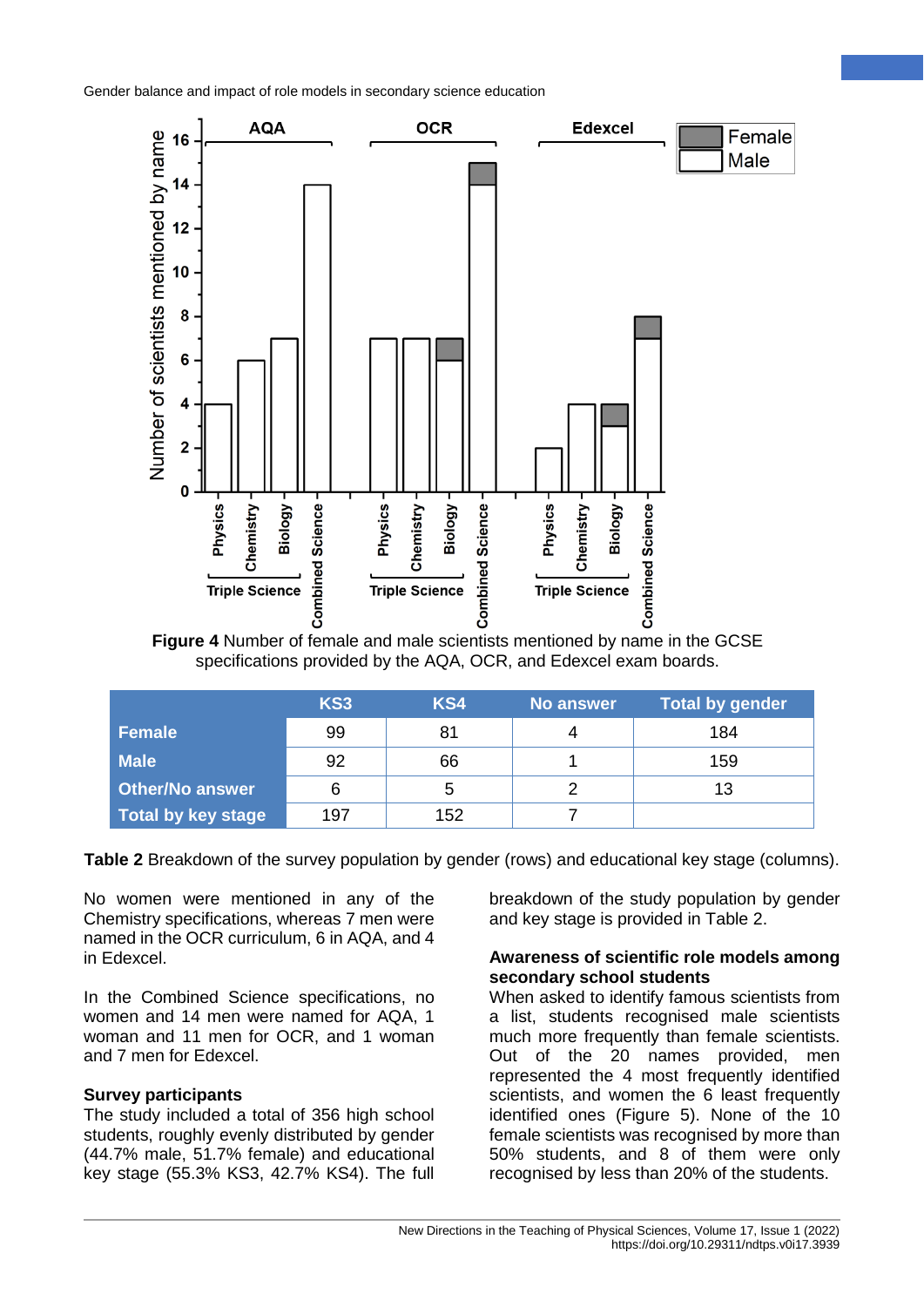

**Figure 4** Number of female and male scientists mentioned by name in the GCSE specifications provided by the AQA, OCR, and Edexcel exam boards.

|                           | KS <sub>3</sub> | KS4 | No answer | <b>Total by gender</b> |
|---------------------------|-----------------|-----|-----------|------------------------|
| <b>Female</b>             | 99              | 81  |           | 184                    |
| <b>Male</b>               | 92              | 66  |           | 159                    |
| <b>Other/No answer</b>    | 6               | 5   |           | 13                     |
| <b>Total by key stage</b> | 197             | 152 |           |                        |

**Table 2** Breakdown of the survey population by gender (rows) and educational key stage (columns).

No women were mentioned in any of the Chemistry specifications, whereas 7 men were named in the OCR curriculum, 6 in AQA, and 4 in Edexcel.

In the Combined Science specifications, no women and 14 men were named for AQA, 1 woman and 11 men for OCR, and 1 woman and 7 men for Edexcel.

## **Survey participants**

The study included a total of 356 high school students, roughly evenly distributed by gender (44.7% male, 51.7% female) and educational key stage (55.3% KS3, 42.7% KS4). The full

breakdown of the study population by gender and key stage is provided in Table 2.

#### **Awareness of scientific role models among secondary school students**

When asked to identify famous scientists from a list, students recognised male scientists much more frequently than female scientists. Out of the 20 names provided, men represented the 4 most frequently identified scientists, and women the 6 least frequently identified ones (Figure 5). None of the 10 female scientists was recognised by more than 50% students, and 8 of them were only recognised by less than 20% of the students.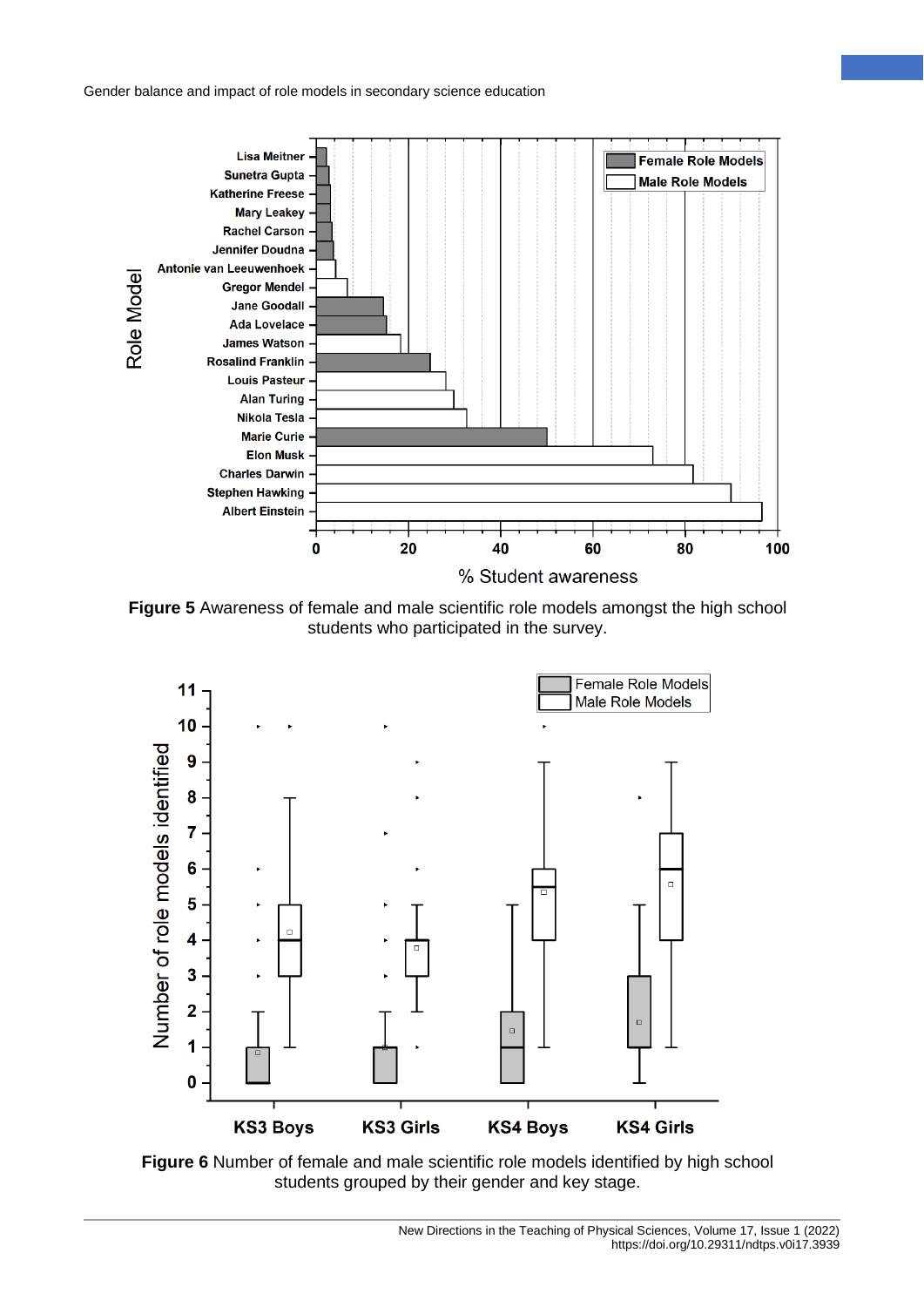

**Figure 5** Awareness of female and male scientific role models amongst the high school students who participated in the survey.



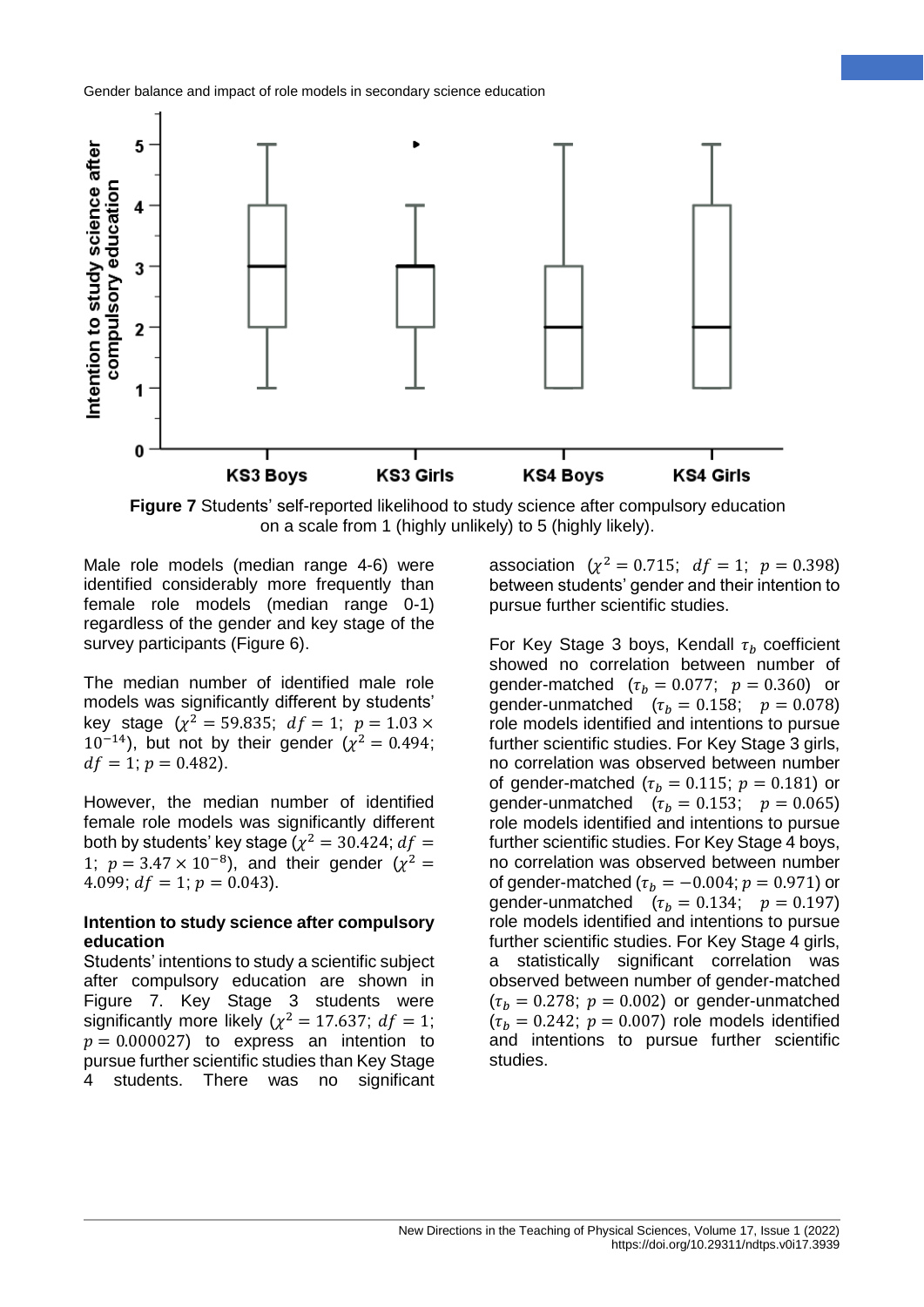

**Figure 7** Students' self-reported likelihood to study science after compulsory education on a scale from 1 (highly unlikely) to 5 (highly likely).

Male role models (median range 4-6) were identified considerably more frequently than female role models (median range 0-1) regardless of the gender and key stage of the survey participants (Figure 6).

The median number of identified male role models was significantly different by students' key stage  $(\chi^2 = 59.835; df = 1; p = 1.03 \times$  $10^{-14}$ ), but not by their gender ( $\chi^2 = 0.494$ ;  $df = 1$ ;  $p = 0.482$ ).

However, the median number of identified female role models was significantly different both by students' key stage ( $\chi^2 = 30.424$ ;  $df =$ 1;  $p = 3.47 \times 10^{-8}$ , and their gender ( $\chi^2 =$ 4.099;  $df = 1$ ;  $p = 0.043$ ).

#### **Intention to study science after compulsory education**

Students' intentions to study a scientific subject after compulsory education are shown in Figure 7. Key Stage 3 students were significantly more likely ( $\chi^2 = 17.637$ ;  $df = 1$ ;  $p = 0.000027$ ) to express an intention to pursue further scientific studies than Key Stage 4 students. There was no significant

association  $(\chi^2 = 0.715; df = 1; p = 0.398)$ between students' gender and their intention to pursue further scientific studies.

For Key Stage 3 boys, Kendall  $\tau_b$  coefficient showed no correlation between number of gender-matched  $(\tau_b = 0.077; p = 0.360)$  or gender-unmatched  $(\tau_h = 0.158; p = 0.078)$ role models identified and intentions to pursue further scientific studies. For Key Stage 3 girls, no correlation was observed between number of gender-matched ( $\tau_b = 0.115$ ;  $p = 0.181$ ) or gender-unmatched  $(\tau_h = 0.153; p = 0.065)$ role models identified and intentions to pursue further scientific studies. For Key Stage 4 boys, no correlation was observed between number of gender-matched ( $\tau_h = -0.004$ ;  $p = 0.971$ ) or gender-unmatched  $(\tau_h = 0.134; p = 0.197)$ role models identified and intentions to pursue further scientific studies. For Key Stage 4 girls, a statistically significant correlation was observed between number of gender-matched  $(\tau_b = 0.278; p = 0.002)$  or gender-unmatched  $(\tau_h = 0.242; p = 0.007)$  role models identified and intentions to pursue further scientific studies.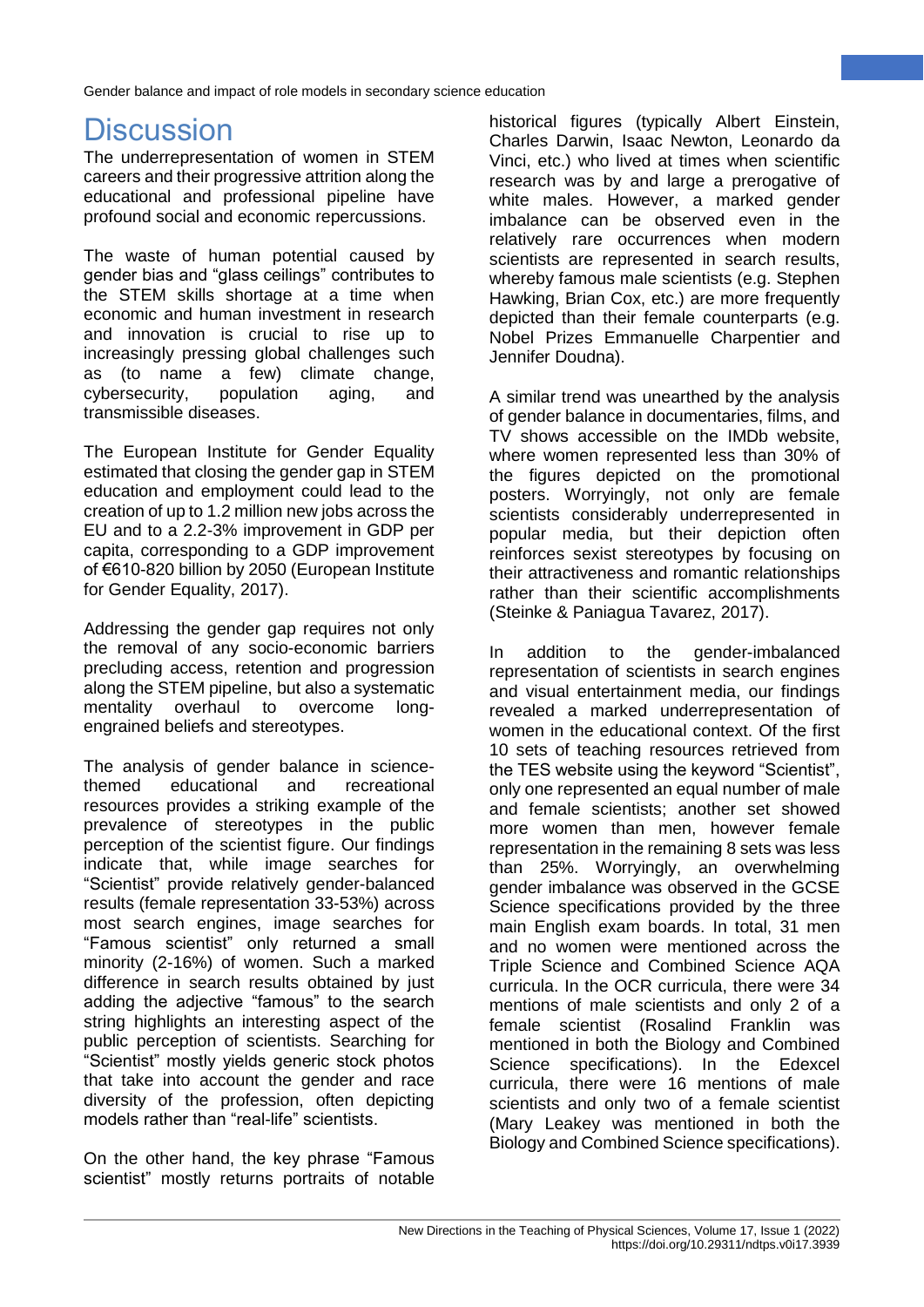# **Discussion**

The underrepresentation of women in STEM careers and their progressive attrition along the educational and professional pipeline have profound social and economic repercussions.

The waste of human potential caused by gender bias and "glass ceilings" contributes to the STEM skills shortage at a time when economic and human investment in research and innovation is crucial to rise up to increasingly pressing global challenges such as (to name a few) climate change, cybersecurity, population aging, and transmissible diseases.

The European Institute for Gender Equality estimated that closing the gender gap in STEM education and employment could lead to the creation of up to 1.2 million new jobs across the EU and to a 2.2-3% improvement in GDP per capita, corresponding to a GDP improvement of €610-820 billion by 2050 (European Institute for Gender Equality, 2017).

Addressing the gender gap requires not only the removal of any socio-economic barriers precluding access, retention and progression along the STEM pipeline, but also a systematic mentality overhaul to overcome longengrained beliefs and stereotypes.

The analysis of gender balance in sciencethemed educational and recreational resources provides a striking example of the prevalence of stereotypes in the public perception of the scientist figure. Our findings indicate that, while image searches for "Scientist" provide relatively gender-balanced results (female representation 33-53%) across most search engines, image searches for "Famous scientist" only returned a small minority (2-16%) of women. Such a marked difference in search results obtained by just adding the adjective "famous" to the search string highlights an interesting aspect of the public perception of scientists. Searching for "Scientist" mostly yields generic stock photos that take into account the gender and race diversity of the profession, often depicting models rather than "real-life" scientists.

On the other hand, the key phrase "Famous scientist" mostly returns portraits of notable historical figures (typically Albert Einstein, Charles Darwin, Isaac Newton, Leonardo da Vinci, etc.) who lived at times when scientific research was by and large a prerogative of white males. However, a marked gender imbalance can be observed even in the relatively rare occurrences when modern scientists are represented in search results, whereby famous male scientists (e.g. Stephen Hawking, Brian Cox, etc.) are more frequently depicted than their female counterparts (e.g. Nobel Prizes Emmanuelle Charpentier and Jennifer Doudna).

A similar trend was unearthed by the analysis of gender balance in documentaries, films, and TV shows accessible on the IMDb website, where women represented less than 30% of the figures depicted on the promotional posters. Worryingly, not only are female scientists considerably underrepresented in popular media, but their depiction often reinforces sexist stereotypes by focusing on their attractiveness and romantic relationships rather than their scientific accomplishments (Steinke & Paniagua Tavarez, 2017).

In addition to the gender-imbalanced representation of scientists in search engines and visual entertainment media, our findings revealed a marked underrepresentation of women in the educational context. Of the first 10 sets of teaching resources retrieved from the TES website using the keyword "Scientist", only one represented an equal number of male and female scientists; another set showed more women than men, however female representation in the remaining 8 sets was less than 25%. Worryingly, an overwhelming gender imbalance was observed in the GCSE Science specifications provided by the three main English exam boards. In total, 31 men and no women were mentioned across the Triple Science and Combined Science AQA curricula. In the OCR curricula, there were 34 mentions of male scientists and only 2 of a female scientist (Rosalind Franklin was mentioned in both the Biology and Combined Science specifications). In the Edexcel curricula, there were 16 mentions of male scientists and only two of a female scientist (Mary Leakey was mentioned in both the Biology and Combined Science specifications).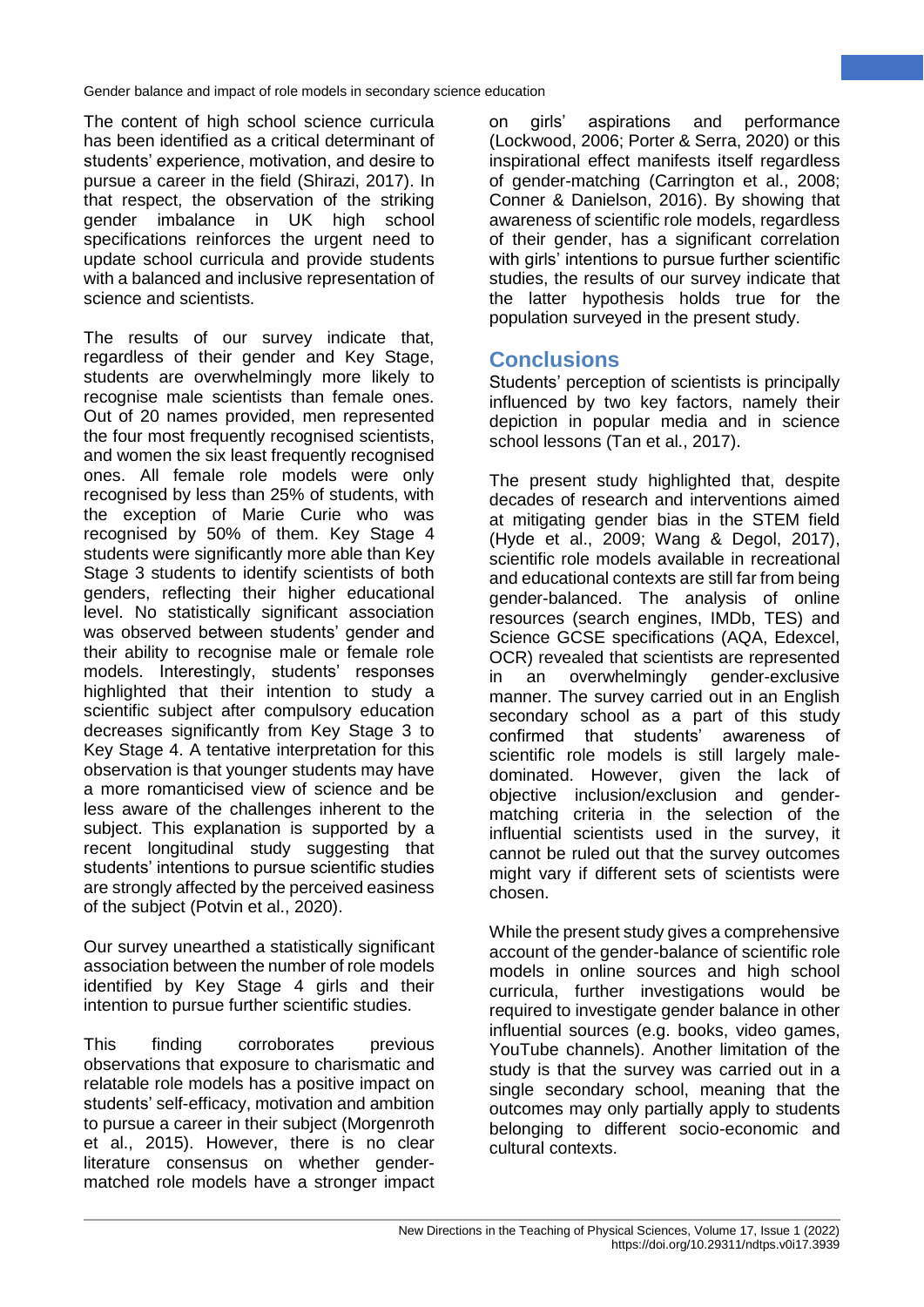The content of high school science curricula has been identified as a critical determinant of students' experience, motivation, and desire to pursue a career in the field (Shirazi, 2017). In that respect, the observation of the striking gender imbalance in UK high school specifications reinforces the urgent need to update school curricula and provide students with a balanced and inclusive representation of science and scientists.

The results of our survey indicate that, regardless of their gender and Key Stage, students are overwhelmingly more likely to recognise male scientists than female ones. Out of 20 names provided, men represented the four most frequently recognised scientists, and women the six least frequently recognised ones. All female role models were only recognised by less than 25% of students, with the exception of Marie Curie who was recognised by 50% of them. Key Stage 4 students were significantly more able than Key Stage 3 students to identify scientists of both genders, reflecting their higher educational level. No statistically significant association was observed between students' gender and their ability to recognise male or female role models. Interestingly, students' responses highlighted that their intention to study a scientific subject after compulsory education decreases significantly from Key Stage 3 to Key Stage 4. A tentative interpretation for this observation is that younger students may have a more romanticised view of science and be less aware of the challenges inherent to the subject. This explanation is supported by a recent longitudinal study suggesting that students' intentions to pursue scientific studies are strongly affected by the perceived easiness of the subject (Potvin et al., 2020).

Our survey unearthed a statistically significant association between the number of role models identified by Key Stage 4 girls and their intention to pursue further scientific studies.

This finding corroborates previous observations that exposure to charismatic and relatable role models has a positive impact on students' self-efficacy, motivation and ambition to pursue a career in their subject (Morgenroth et al., 2015). However, there is no clear literature consensus on whether gendermatched role models have a stronger impact on girls' aspirations and performance (Lockwood, 2006; Porter & Serra, 2020) or this inspirational effect manifests itself regardless of gender-matching (Carrington et al., 2008; Conner & Danielson, 2016). By showing that awareness of scientific role models, regardless of their gender, has a significant correlation with girls' intentions to pursue further scientific studies, the results of our survey indicate that the latter hypothesis holds true for the population surveyed in the present study.

## **Conclusions**

Students' perception of scientists is principally influenced by two key factors, namely their depiction in popular media and in science school lessons (Tan et al., 2017).

The present study highlighted that, despite decades of research and interventions aimed at mitigating gender bias in the STEM field (Hyde et al., 2009; Wang & Degol, 2017), scientific role models available in recreational and educational contexts are still far from being gender-balanced. The analysis of online resources (search engines, IMDb, TES) and Science GCSE specifications (AQA, Edexcel, OCR) revealed that scientists are represented in an overwhelmingly gender-exclusive manner. The survey carried out in an English secondary school as a part of this study confirmed that students' awareness of scientific role models is still largely maledominated. However, given the lack of objective inclusion/exclusion and gendermatching criteria in the selection of the influential scientists used in the survey, it cannot be ruled out that the survey outcomes might vary if different sets of scientists were chosen.

While the present study gives a comprehensive account of the gender-balance of scientific role models in online sources and high school curricula, further investigations would be required to investigate gender balance in other influential sources (e.g. books, video games, YouTube channels). Another limitation of the study is that the survey was carried out in a single secondary school, meaning that the outcomes may only partially apply to students belonging to different socio-economic and cultural contexts.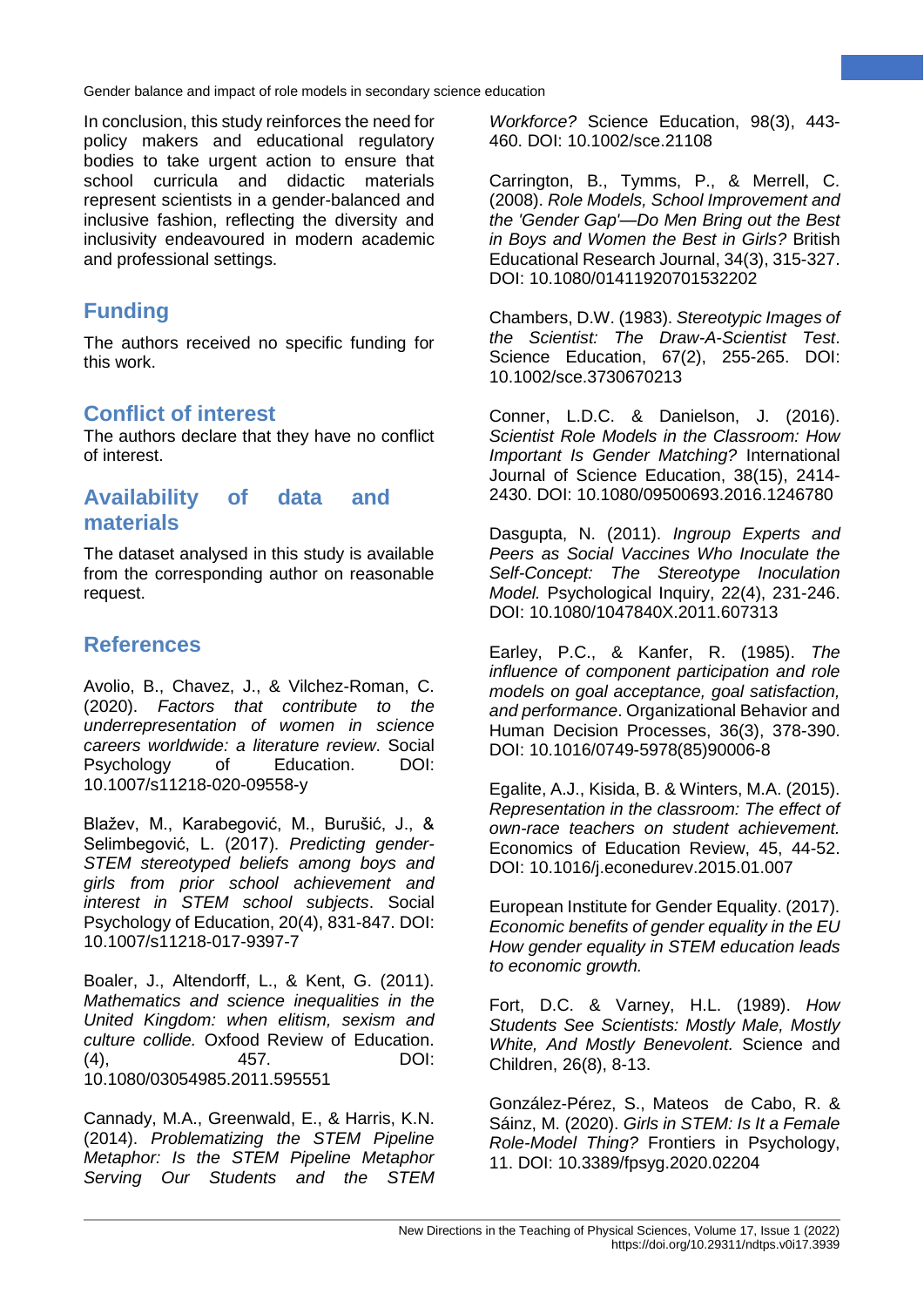In conclusion, this study reinforces the need for policy makers and educational regulatory bodies to take urgent action to ensure that school curricula and didactic materials represent scientists in a gender-balanced and inclusive fashion, reflecting the diversity and inclusivity endeavoured in modern academic and professional settings.

# **Funding**

The authors received no specific funding for this work.

## **Conflict of interest**

The authors declare that they have no conflict of interest.

## **Availability of data and materials**

The dataset analysed in this study is available from the corresponding author on reasonable request.

# **References**

Avolio, B., Chavez, J., & Vilchez-Roman, C. (2020). *Factors that contribute to the underrepresentation of women in science careers worldwide: a literature review*. Social Psychology of Education. DOI: 10.1007/s11218-020-09558-y

Blažev, M., Karabegović, M., Burušić, J., & Selimbegović, L. (2017). *Predicting gender-STEM stereotyped beliefs among boys and girls from prior school achievement and interest in STEM school subjects*. Social Psychology of Education, 20(4), 831-847. DOI: 10.1007/s11218-017-9397-7

Boaler, J., Altendorff, L., & Kent, G. (2011). *Mathematics and science inequalities in the United Kingdom: when elitism, sexism and culture collide.* Oxfood Review of Education. (4), 457. DOI: 10.1080/03054985.2011.595551

Cannady, M.A., Greenwald, E., & Harris, K.N. (2014). *Problematizing the STEM Pipeline Metaphor: Is the STEM Pipeline Metaphor Serving Our Students and the STEM*

*Workforce?* Science Education, 98(3), 443- 460. DOI: 10.1002/sce.21108

Carrington, B., Tymms, P., & Merrell, C. (2008). *Role Models, School Improvement and the 'Gender Gap'—Do Men Bring out the Best in Boys and Women the Best in Girls?* British Educational Research Journal, 34(3), 315-327. DOI: 10.1080/01411920701532202

Chambers, D.W. (1983). *Stereotypic Images of the Scientist: The Draw-A-Scientist Test*. Science Education, 67(2), 255-265. DOI: 10.1002/sce.3730670213

Conner, L.D.C. & Danielson, J. (2016). *Scientist Role Models in the Classroom: How Important Is Gender Matching?* International Journal of Science Education, 38(15), 2414- 2430. DOI: 10.1080/09500693.2016.1246780

Dasgupta, N. (2011). *Ingroup Experts and Peers as Social Vaccines Who Inoculate the Self-Concept: The Stereotype Inoculation Model.* Psychological Inquiry, 22(4), 231-246. DOI: 10.1080/1047840X.2011.607313

Earley, P.C., & Kanfer, R. (1985). *The influence of component participation and role models on goal acceptance, goal satisfaction, and performance*. Organizational Behavior and Human Decision Processes, 36(3), 378-390. DOI: 10.1016/0749-5978(85)90006-8

Egalite, A.J., Kisida, B. & Winters, M.A. (2015). *Representation in the classroom: The effect of own-race teachers on student achievement.*  Economics of Education Review, 45, 44-52. DOI: 10.1016/j.econedurev.2015.01.007

European Institute for Gender Equality. (2017). *Economic benefits of gender equality in the EU How gender equality in STEM education leads to economic growth.* 

Fort, D.C. & Varney, H.L. (1989). *How Students See Scientists: Mostly Male, Mostly White, And Mostly Benevolent.* Science and Children, 26(8), 8-13.

González-Pérez, S., Mateos de Cabo, R. & Sáinz, M. (2020). *Girls in STEM: Is It a Female Role-Model Thing?* Frontiers in Psychology, 11. DOI: 10.3389/fpsyg.2020.02204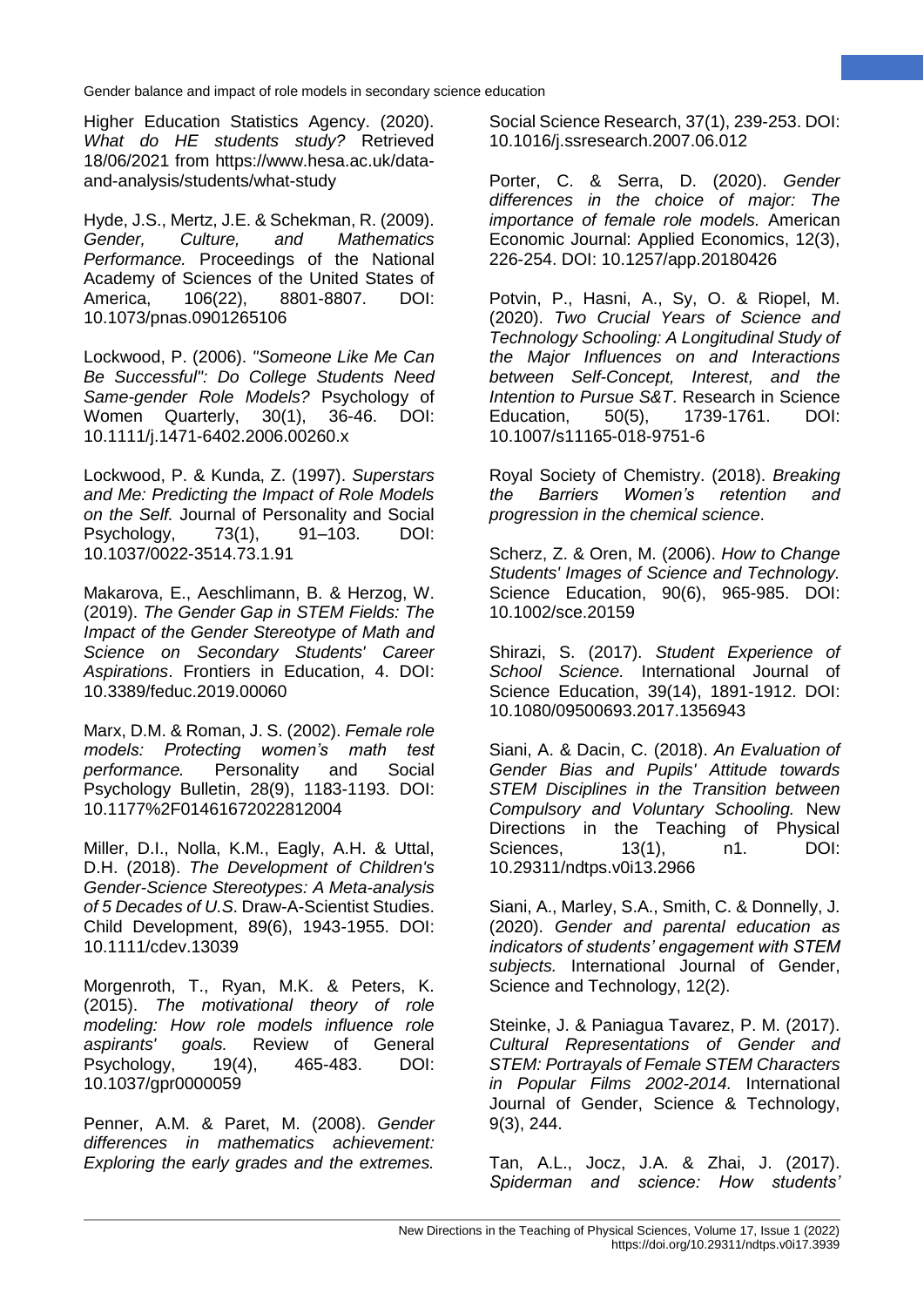Higher Education Statistics Agency. (2020). *What do HE students study?* Retrieved 18/06/2021 from https://www.hesa.ac.uk/dataand-analysis/students/what-study

Hyde, J.S., Mertz, J.E. & Schekman, R. (2009). *Gender, Culture, and Mathematics Performance.* Proceedings of the National Academy of Sciences of the United States of America, 106(22), 8801-8807. DOI: 10.1073/pnas.0901265106

Lockwood, P. (2006). *"Someone Like Me Can Be Successful": Do College Students Need Same-gender Role Models?* Psychology of Women Quarterly, 30(1), 36-46. DOI: 10.1111/j.1471-6402.2006.00260.x

Lockwood, P. & Kunda, Z. (1997). *Superstars and Me: Predicting the Impact of Role Models on the Self.* Journal of Personality and Social Psychology, 73(1), 91–103. DOI: 10.1037/0022-3514.73.1.91

Makarova, E., Aeschlimann, B. & Herzog, W. (2019). *The Gender Gap in STEM Fields: The Impact of the Gender Stereotype of Math and Science on Secondary Students' Career Aspirations*. Frontiers in Education, 4. DOI: 10.3389/feduc.2019.00060

Marx, D.M. & Roman, J. S. (2002). *Female role models: Protecting women's math test performance.* Personality and Social Psychology Bulletin, 28(9), 1183-1193. DOI: 10.1177%2F01461672022812004

Miller, D.I., Nolla, K.M., Eagly, A.H. & Uttal, D.H. (2018). *The Development of Children's Gender-Science Stereotypes: A Meta-analysis of 5 Decades of U.S*. Draw-A-Scientist Studies. Child Development, 89(6), 1943-1955. DOI: 10.1111/cdev.13039

Morgenroth, T., Ryan, M.K. & Peters, K. (2015). *The motivational theory of role modeling: How role models influence role aspirants' goals.* Review of General Psychology, 19(4), 465-483. DOI: 10.1037/gpr0000059

Penner, A.M. & Paret, M. (2008). *Gender differences in mathematics achievement: Exploring the early grades and the extremes.*

Social Science Research, 37(1), 239-253. DOI: 10.1016/j.ssresearch.2007.06.012

Porter, C. & Serra, D. (2020). *Gender differences in the choice of major: The importance of female role models.* American Economic Journal: Applied Economics, 12(3), 226-254. DOI: 10.1257/app.20180426

Potvin, P., Hasni, A., Sy, O. & Riopel, M. (2020). *Two Crucial Years of Science and Technology Schooling: A Longitudinal Study of the Major Influences on and Interactions between Self-Concept, Interest, and the Intention to Pursue S&T*. Research in Science Education, 50(5), 1739-1761. DOI: 10.1007/s11165-018-9751-6

Royal Society of Chemistry. (2018). *Breaking the Barriers Women's retention and progression in the chemical science*.

Scherz, Z. & Oren, M. (2006). *How to Change Students' Images of Science and Technology.* Science Education, 90(6), 965-985. DOI: 10.1002/sce.20159

Shirazi, S. (2017). *Student Experience of School Science.* International Journal of Science Education, 39(14), 1891-1912. DOI: 10.1080/09500693.2017.1356943

Siani, A. & Dacin, C. (2018). *An Evaluation of Gender Bias and Pupils' Attitude towards STEM Disciplines in the Transition between Compulsory and Voluntary Schooling.* New Directions in the Teaching of Physical Sciences, 13(1), n1. DOI: 10.29311/ndtps.v0i13.2966

Siani, A., Marley, S.A., Smith, C. & Donnelly, J. (2020). *Gender and parental education as indicators of students' engagement with STEM subjects.* International Journal of Gender, Science and Technology, 12(2).

Steinke, J. & Paniagua Tavarez, P. M. (2017). *Cultural Representations of Gender and STEM: Portrayals of Female STEM Characters in Popular Films 2002-2014.* International Journal of Gender, Science & Technology, 9(3), 244.

Tan, A.L., Jocz, J.A. & Zhai, J. (2017). *Spiderman and science: How students'*